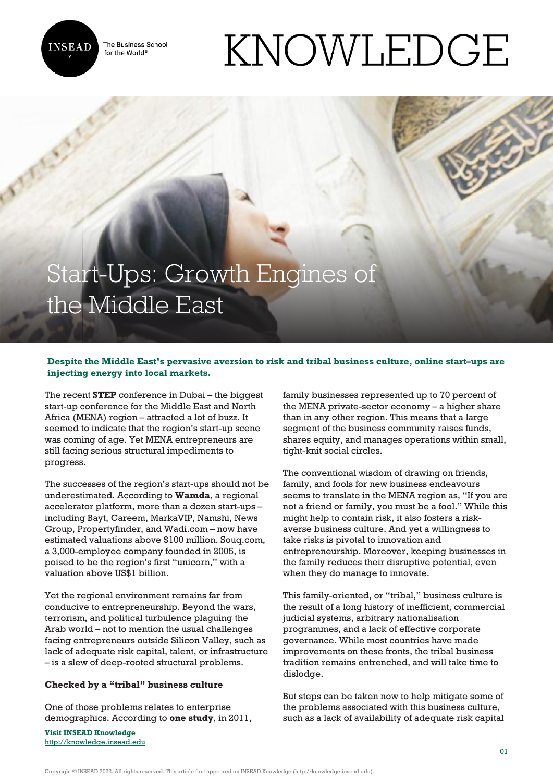

The Business School for the World<sup>®</sup>

# KNOWLEDGE

# Start-Ups: Growth Engines of the Middle East

## **Despite the Middle East's pervasive aversion to risk and tribal business culture, online start–ups are injecting energy into local markets.**

The recent **[STEP](https://stepconference.com/)** conference in Dubai – the biggest start-up conference for the Middle East and North Africa (MENA) region – attracted a lot of buzz. It seemed to indicate that the region's start-up scene was coming of age. Yet MENA entrepreneurs are still facing serious structural impediments to progress.

The successes of the region's start-ups should not be underestimated. According to **[Wamda](http://www.wamda.com/2016/01/expo2020-wamda-partner-collaborative-entrepreneurship)**, a regional accelerator platform, more than a dozen start-ups – including Bayt, Careem, MarkaVIP, Namshi, News Group, Propertyfinder, and Wadi.com – now have estimated valuations above \$100 million. Souq.com, a 3,000-employee company founded in 2005, is poised to be the region's first "unicorn," with a valuation above US\$1 billion.

Yet the regional environment remains far from conducive to entrepreneurship. Beyond the wars, terrorism, and political turbulence plaguing the Arab world – not to mention the usual challenges facing entrepreneurs outside Silicon Valley, such as lack of adequate risk capital, talent, or infrastructure – is a slew of deep-rooted structural problems.

### **Checked by a "tribal" business culture**

One of those problems relates to enterprise demographics. According to **one study**, in 2011,

**Visit INSEAD Knowledge** <http://knowledge.insead.edu> family businesses represented up to 70 percent of the MENA private-sector economy – a higher share than in any other region. This means that a large segment of the business community raises funds, shares equity, and manages operations within small, tight-knit social circles.

The conventional wisdom of drawing on friends, family, and fools for new business endeavours seems to translate in the MENA region as, "If you are not a friend or family, you must be a fool." While this might help to contain risk, it also fosters a riskaverse business culture. And yet a willingness to take risks is pivotal to innovation and entrepreneurship. Moreover, keeping businesses in the family reduces their disruptive potential, even when they do manage to innovate.

This family-oriented, or "tribal," business culture is the result of a long history of inefficient, commercial judicial systems, arbitrary nationalisation programmes, and a lack of effective corporate governance. While most countries have made improvements on these fronts, the tribal business tradition remains entrenched, and will take time to dislodge.

But steps can be taken now to help mitigate some of the problems associated with this business culture, such as a lack of availability of adequate risk capital